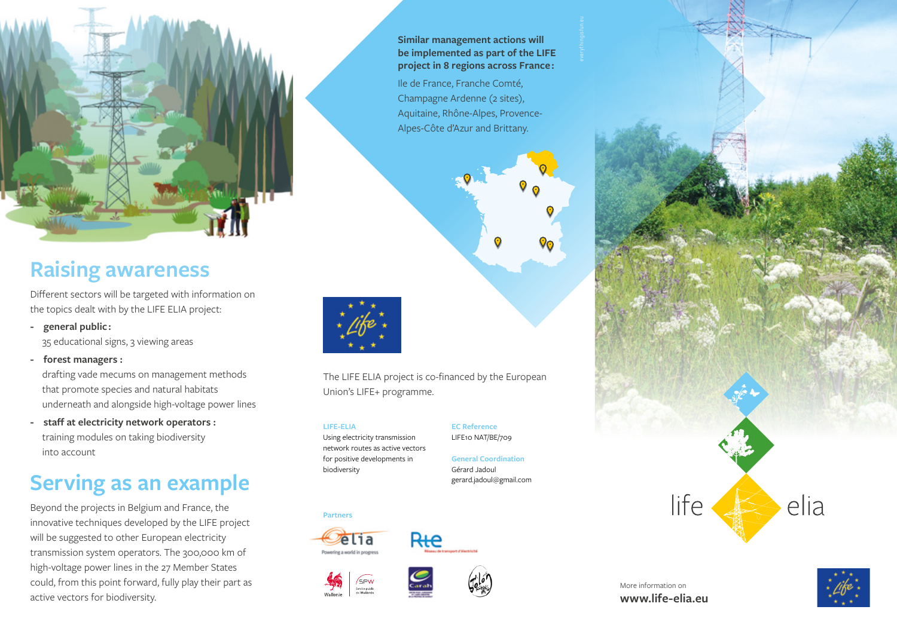

## **Raising awareness**

Different sectors will be targeted with information on the topics dealt with by the LIFE ELIA project:

**- general public :** 

35 educational signs, 3 viewing areas

- **forest managers :**  drafting vade mecums on management methods that promote species and natural habitats underneath and alongside high-voltage power lines
- **staff at electricity network operators :** training modules on taking biodiversity into account

# **Serving as an example**

Beyond the projects in Belgium and France, the innovative techniques developed by the LIFE project will be suggested to other European electricity transmission system operators. The 300,000 km of high-voltage power lines in the 27 Member States could, from this point forward, fully play their part as active vectors for biodiversity.

**Similar management actions will be implemented as part of the LIFE project in 8 regions across France :** 

Ile de France, Franche Comté, Champagne Ardenne (2 sites), Aquitaine, Rhône-Alpes, Provence-Alpes-Côte d'Azur and Brittany.



The LIFE ELIA project is co-financed by the European Union's LIFE+ programme.

**LIFE-ELIA**

Using electricity transmission

**EC Reference** LIFE10 NAT/BE/709

network routes as active vectors for positive developments in biodiversity

**General Coordination** Gérard Jadoul gerard.jadoul@gmail.com









Rte



More information on **www.life-elia.eu**